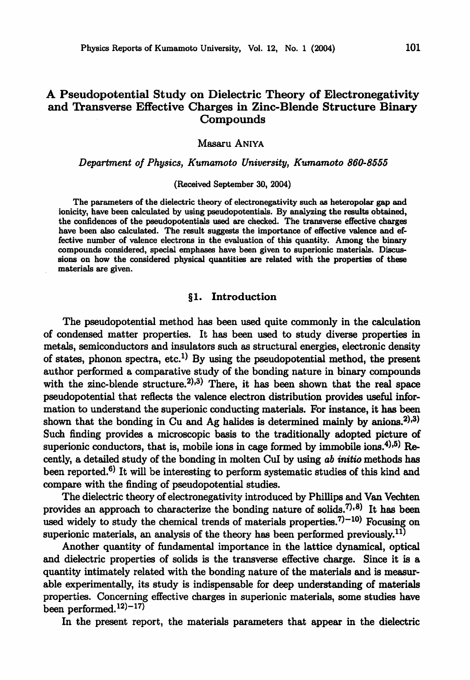# A Pseudopotential Study on Dielectric Theory of Electronegativity and Transverse Effective Charges in Zinc-Blende Structure Binary Compounds

Masaru Aniya

Department of Physics, Kumamoto University, Kumamoto 860-8555

(Received September 30, 2004)

The parameters of the dielectric theory of electronegativity such as heteropolar gap and ionicity, have been calculated by using pseudopotentials. By analyzing the results obtained, the confidences of the pseudopotentials used are checked. The transverse effective charges have been also calculated. The result suggests the importance of effective valence and ef fective number of valence electrons in the evaluation of this quantity. Among the binary compounds considered, special emphases have been given to superionic materials. Discus sions on how the considered physical quantities are related with the properties of these materials are given.

## 1. Introduction

The pseudopotential method has been used quite commonly in the calculation of condensed matter properties. It has been used to study diverse properties in metals, semiconductors and insulators such as structural energies, electronic density of states, phonon spectra, etc.<sup>1)</sup> By using the pseudopotential method, the present author performed a comparative study of the bonding nature in binary compounds with the zinc-blende structure.<sup>2),3)</sup> There, it has been shown that the real space pseudopotential that reflects the valence electron distribution provides useful infor mation to understand the superionic conducting materials. For instance, it has been shown that the bonding in Cu and Ag halides is determined mainly by anions.<sup>2),3)</sup> Such finding provides a microscopic basis to the traditionally adopted picture of superionic conductors, that is, mobile ions in cage formed by immobile ions.<sup>4),5)</sup> Recently, a detailed study of the bonding in molten CuI by using ab initio methods has been reported.6) It will be interesting to perform systematic studies of this kind and compare with the finding of pseudopotential studies.

The dielectric theory of electronegativity introduced by Phillips and Van Vechten provides an approach to characterize the bonding nature of solids.<sup>7</sup> $)$ ,<sup>8</sup>) It has been used widely to study the chemical trends of materials properties.<sup>7)-10</sup> Focusing on superionic materials, an analysis of the theory has been performed previously.<sup>11)</sup>

Another quantity of fundamental importance in the lattice dynamical, optical and dielectric properties of solids is the transverse effective charge. Since it is a quantity intimately related with the bonding nature of the materials and is measur able experimentally, its study is indispensable for deep understanding of materials properties. Concerning effective charges in superionic materials, some studies have been performed.<sup>12 $)-17$ </sup>

In the present report, the materials parameters that appear in the dielectric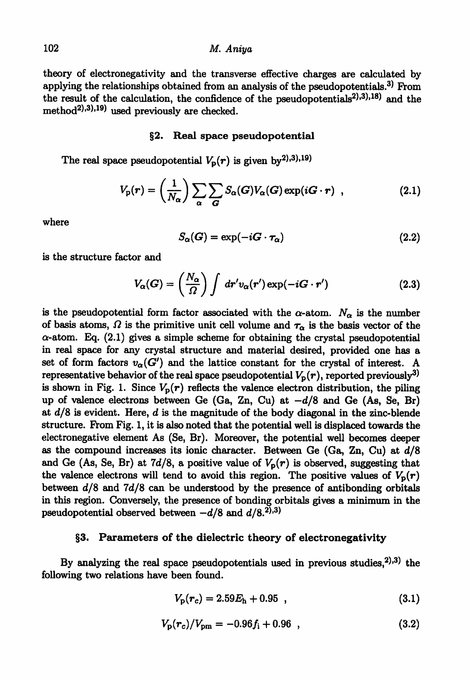## 102 M. Aniya

theory of electronegativity and the transverse effective charges are calculated by applying the relationships obtained from an analysis of the pseudopotentials.<sup>3)</sup> From the result of the calculation, the confidence of the pseudopotentials<sup>2),3),18)</sup> and the method<sup>2),3),19)</sup> used previously are checked.

#### §2. Real space pseudopotential

The real space pseudopotential  $V_p(r)$  is given by<sup>2),3),19)</sup>

$$
V_{\rm p}(r) = \left(\frac{1}{N_{\alpha}}\right) \sum_{\alpha} \sum_{\mathbf{G}} S_{\alpha}(\mathbf{G}) V_{\alpha}(\mathbf{G}) \exp(i\mathbf{G} \cdot \mathbf{r}) \quad , \tag{2.1}
$$

where

$$
S_{\alpha}(G) = \exp(-iG \cdot \tau_{\alpha}) \tag{2.2}
$$

is the structure factor and

$$
V_{\alpha}(G) = \left(\frac{N_{\alpha}}{\Omega}\right) \int dr' v_{\alpha}(r') \exp(-iG \cdot r')
$$
 (2.3)

is the pseudopotential form factor associated with the  $\alpha$ -atom.  $N_{\alpha}$  is the number of basis atoms,  $\Omega$  is the primitive unit cell volume and  $\tau_{\alpha}$  is the basis vector of the  $\alpha$ -atom. Eq. (2.1) gives a simple scheme for obtaining the crystal pseudopotential in real space for any crystal structure and material desired, provided one has set of form factors  $v_{\alpha}(G')$  and the lattice constant for the crystal of interest. A representative behavior of the real space pseudopotential  $V_p(r)$ , reported previously<sup>3)</sup> is shown in Fig. 1. Since  $V_p(r)$  reflects the valence electron distribution, the piling up of valence electrons between Ge (Ga, Zn, Cu) at  $-d/8$  and Ge (As, Se, Br) at  $d/8$  is evident. Here, d is the magnitude of the body diagonal in the zinc-blende structure. From Fig. 1, it is also noted that the potential well is displaced towards the electronegative element As (Se, Br). Moreover, the potential well becomes deeper as the compound increases its ionic character. Between Ge (Ga, Zn, Cu) at d/S and Ge (As, Se, Br) at 7d/8, a positive value of  $V_p(r)$  is observed, suggesting that the valence electrons will tend to avoid this region. The positive values of  $V_p(r)$ between  $d/8$  and  $7d/8$  can be understood by the presence of antibonding orbitals in this region. Conversely, the presence of bonding orbitals gives minimum in the pseudopotential observed between  $-d/8$  and  $d/8$ .<sup>2)</sup>,<sup>3)</sup>

## §3. Parameters of the dielectric theory of electronegativity

By analyzing the real space pseudopotentials used in previous studies, $^{2),3}$ ) the following two relations have been found.

$$
V_{\rm p}(r_c) = 2.59E_{\rm h} + 0.95 \t{3.1}
$$

$$
V_{\rm p}(r_c)/V_{\rm pm} = -0.96f_{\rm i} + 0.96 \quad , \tag{3.2}
$$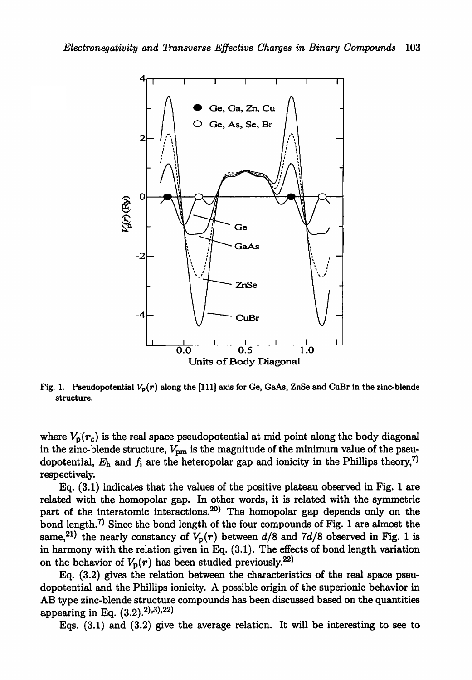

Fig. 1. Pseudopotential  $V_p(r)$  along the [111] axis for Ge, GaAs, ZnSe and CuBr in the zinc-blende structure.

where  $V_p(r_c)$  is the real space pseudopotential at mid point along the body diagonal in the zinc-blende structure,  $V_{\text{pm}}$  is the magnitude of the minimum value of the pseudopotential,  $E_h$  and  $f_i$  are the heteropolar gap and ionicity in the Phillips theory,<sup>7)</sup> respectively.

Eq.  $(3.1)$  indicates that the values of the positive plateau observed in Fig. 1 are related with the homopolar gap. In other words, it is related with the symmetric part of the interatomic interactions.<sup>20)</sup> The homopolar gap depends only on the bond length.<sup>7)</sup> Since the bond length of the four compounds of Fig. 1 are almost the same,<sup>21)</sup> the nearly constancy of  $V_p(r)$  between  $d/8$  and 7d/8 observed in Fig. 1 is in harmony with the relation given in Eq. (3.1). The effects of bond length variation on the behavior of  $V_p(r)$  has been studied previously.<sup>22)</sup>

Eq. (3.2) gives the relation between the characteristics of the real space pseu dopotential and the Phillips ionicity. A possible origin of the superionic behavior in AB type zinc-blende structure compounds has been discussed based on the quantities appearing in Eq.  $(3.2).^{2}$ , 3), 22)

Eqs. (3.1) and (3.2) give the average relation. It will be interesting to see to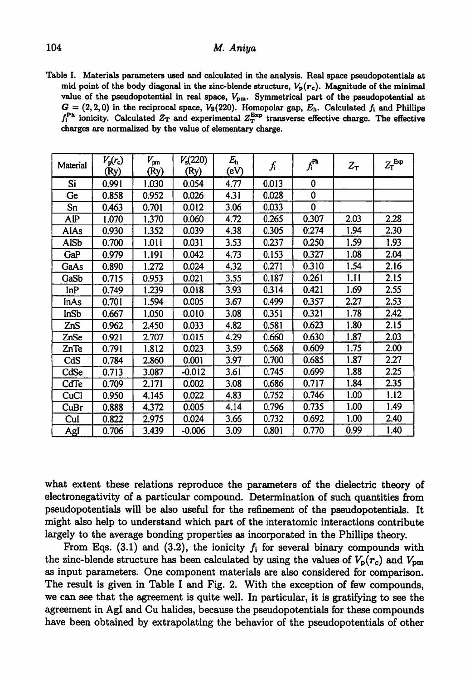## 104 M. Aniya

Table I. Materials parameters used and calculated in the analysis. Real space pseudopotentials at mid point of the body diagonal in the zinc-blende structure,  $V_p(r_c)$ . Magnitude of the minimal value of the pseudopotential in real space,  $V_{\text{pm}}$ . Symmetrical part of the pseudopotential at  $G = (2,2,0)$  in the reciprocal space,  $V_s(220)$ . Homopolar gap,  $E_h$ . Calculated  $f_i$  and Phillips  $f_1^{\text{Ph}}$  ionicity. Calculated  $Z_T$  and experimental  $Z_T^{\text{Exp}}$  transverse effective charge. The effective charges are normalized by the value of elementary charge.

| Material    | $V_p(r_c)$<br>(Ry) | $V_{\rm pn}$<br>(Ry) | $V_{\rm s}(220)$<br>(Ry) | $E_{\rm h}$<br>(eV) | ſi    | $f_i^{\mathrm{Ph}}$ | $Z_T$ | $Z_T^{\text{Exp}}$ |
|-------------|--------------------|----------------------|--------------------------|---------------------|-------|---------------------|-------|--------------------|
| Si          | 0.991              | 1.030                | 0.054                    | 4.77                | 0.013 | 0                   |       |                    |
| Ge          | 0.858              | 0.952                | 0.026                    | 4.31                | 0.028 | 0                   |       |                    |
| Sn          | 0.463              | 0.701                | 0.012                    | 3.06                | 0.033 | $\bf{0}$            |       |                    |
| AIP         | 1.070              | 1.370                | 0.060                    | 4.72                | 0.265 | 0.307               | 2.03  | 2.28               |
| AlAs        | 0.930              | 1.352                | 0.039                    | 4.38                | 0.305 | 0.274               | 1.94  | 2.30               |
| <b>AISb</b> | 0.700              | 1.011                | 0.031                    | 3.53                | 0.237 | 0.250               | 1.59  | 1.93               |
| GaP         | 0.979              | 1.191                | 0.042                    | 4.73                | 0.153 | 0.327               | 1.08  | 2.04               |
| GaAs        | 0.890              | 1.272                | 0.024                    | 4.32                | 0.271 | 0.310               | 1.54  | 2.16               |
| GaSb        | 0.715              | 0.953                | 0.021                    | 3.55                | 0.187 | 0.261               | 1.11  | 2.15               |
| InP         | 0.749              | 1.239                | 0.018                    | 3.93                | 0.314 | 0.421               | 1.69  | 2.55               |
| inAs        | 0.701              | 1.594                | 0.005                    | 3.67                | 0.499 | 0.357               | 2.27  | 2.53               |
| InSb        | 0.667              | 1.050                | 0.010                    | 3.08                | 0.351 | 0.321               | 1.78  | 2.42               |
| ZnS         | 0.962              | 2.450                | 0.033                    | 4.82                | 0.581 | 0.623               | 1.80  | 2.15               |
| ZnSe        | 0.921              | 2.707                | 0.015                    | 4.29                | 0.660 | 0.630               | 1.87  | 2.03               |
| ZnTe        | 0.791              | 1.812                | 0.023                    | 3.59                | 0.568 | 0.609               | 1.75  | 2.00               |
| CdS         | 0.784              | 2.860                | 0.001                    | 3.97                | 0.700 | 0.685               | 1.87  | 2.27               |
| CdSe        | 0.713              | 3.087                | $-0.012$                 | 3.61                | 0.745 | 0.699               | 1.88  | 2.25               |
| CdTe        | 0.709              | 2.171                | 0.002                    | 3.08                | 0.686 | 0.717               | 1.84  | 2.35               |
| CuCl        | 0.950              | 4.145                | 0.022                    | 4.83                | 0.752 | 0.746               | 1.00  | 1.12               |
| CuBr        | 0.888              | 4.372                | 0.005                    | 4.14                | 0.796 | 0.735               | 1.00  | 1.49               |
| Cul         | 0.822              | 2.975                | 0.024                    | 3.66                | 0.732 | 0.692               | 1.00  | 2.40               |
| AgI         | 0.706              | 3.439                | -0.006                   | 3.09                | 0.801 | 0.770               | 0.99  | 1.40               |

what extent these relations reproduce the parameters of the dielectric theory of electronegativity of a particular compound. Determination of such quantities from pseudopotentials will be also useful for the refinement of the pseudopotentials. It might also help to understand which part of the interatomic interactions contribute largely to the average bonding properties as incorporated in the Phillips theory.

From Eqs. (3.1) and (3.2), the ionicity  $f_i$  for several binary compounds with the zinc-blende structure has been calculated by using the values of  $V_p(r_c)$  and  $V_{pm}$ as input parameters. One component materials are also considered for comparison. The result is given in Table I and Fig. 2. With the exception of few compounds, we can see that the agreement is quite well. In particular, it is gratifying to see the agreement in Agl and Cu halides, because the pseudopotentials for these compounds have been obtained by extrapolating the behavior of the pseudopotentials of other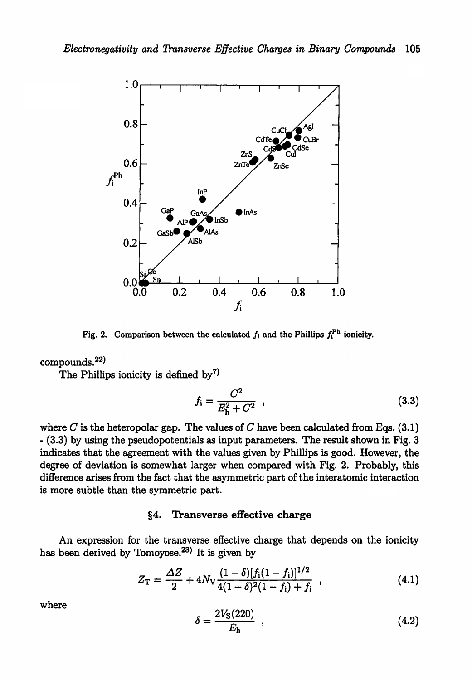

Fig. 2. Comparison between the calculated  $f_i$  and the Phillips  $f_i^{Ph}$  ionicity.

# $com $$ ompounds. $^{22)}$$

The Phillips ionicity is defined by<sup>7)</sup>

$$
f_{\rm i} = \frac{C^2}{E_{\rm h}^2 + C^2} \quad , \tag{3.3}
$$

where  $C$  is the heteropolar gap. The values of  $C$  have been calculated from Eqs. (3.1)  $-$  (3.3) by using the pseudopotentials as input parameters. The result shown in Fig. 3 indicates that the agreement with the values given by Phillips is good. However, the degree of deviation is somewhat larger when compared with Fig. 2. Probably, this difference arises from the fact that the asymmetric part of the interatomic interaction is more subtle than the symmetric part.

#### §4. Transverse effective charge

An expression for the transverse effective charge that depends on the ionicity has been derived by Tomoyose.<sup>23)</sup> It is given by

$$
Z_{\rm T} = \frac{\Delta Z}{2} + 4N_{\rm V} \frac{(1-\delta)[f_{\rm i}(1-f_{\rm i})]^{1/2}}{4(1-\delta)^2(1-f_{\rm i})+f_{\rm i}} \quad , \tag{4.1}
$$

where

$$
\delta = \frac{2V_{\rm S}(220)}{E_{\rm h}} \quad , \tag{4.2}
$$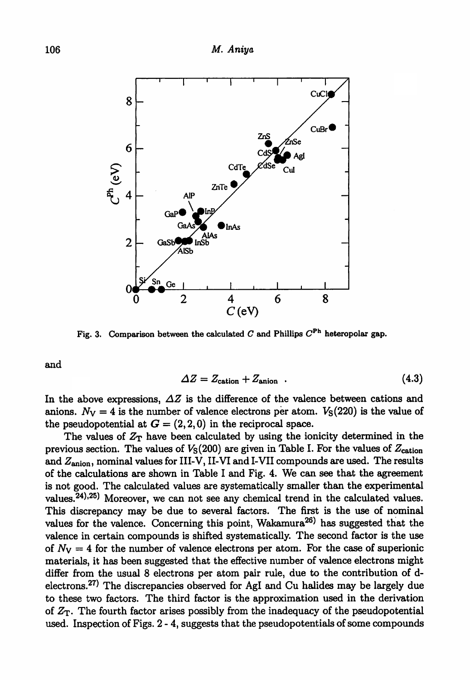

Fig. 3. Comparison between the calculated C and Phillips  $C^{\text{Ph}}$  heteropolar gap.

and

$$
\Delta Z = Z_{\text{cation}} + Z_{\text{anion}} \tag{4.3}
$$

In the above expressions,  $\Delta Z$  is the difference of the valence between cations and anions.  $N_V = 4$  is the number of valence electrons per atom.  $V_S (220)$  is the value of the pseudopotential at  $G = (2,2,0)$  in the reciprocal space.

The values of  $Z_T$  have been calculated by using the ionicity determined in the previous section. The values of  $V<sub>S</sub>(200)$  are given in Table I. For the values of  $Z<sub>cation</sub>$ and  $Z_{\text{anion}}$ , nominal values for III-V, II-VI and I-VII compounds are used. The results of the calculations are shown in Table I and Fig. 4. We can see that the agreement is not good. The calculated values are systematically smaller than the experimental values.<sup>24),25</sup>) Moreover, we can not see any chemical trend in the calculated values. This discrepancy may be due to several factors. The first is the use of nominal values for the valence. Concerning this point, Wakamura<sup>26)</sup> has suggested that the valence in certain compounds is shifted systematically. The second factor is the use of  $N_V = 4$  for the number of valence electrons per atom. For the case of superionic materials, it has been suggested that the effective number of valence electrons might differ from the usual 8 electrons per atom pair rule, due to the contribution of delectrons.27) The discrepancies observed for Agl and Cu halides may be largely due to these two factors. The third factor is the approximation used in the derivation of  $Z_T$ . The fourth factor arises possibly from the inadequacy of the pseudopotential used. Inspection of Figs. 2-4, suggests that the pseudopotentials of some compounds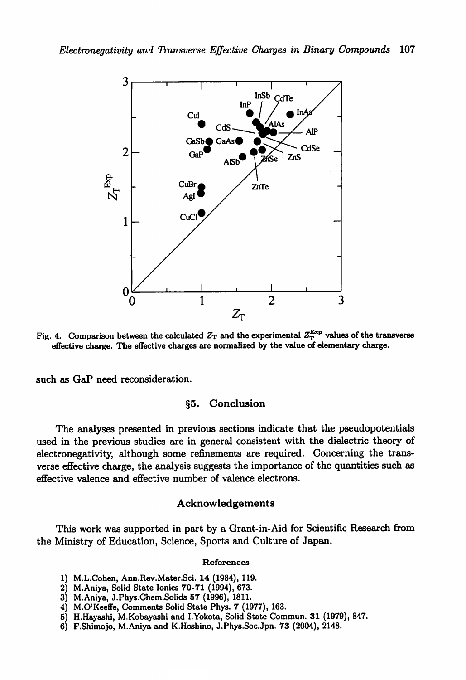

Fig. 4. Comparison between the calculated  $Z_T$  and the experimental  $Z_T^{\text{Exp}}$  values of the transverse effective charge. The effective charges are normalized by the value of elementary charge.

such as GaP need reconsideration.

## §5. Conclusion

The analyses presented in previous sections indicate that the pseudopotentials used in the previous studies are in general consistent with the dielectric theory of electronegativity, although some refinements are required. Concerning the trans verse effective charge, the analysis suggests the importance of the quantities such as effective valence and effective number of valence electrons.

### Acknowledgements

This work was supported in part by a Grant-in-Aid for Scientific Research from the Ministry of Education, Science, Sports and Culture of Japan.

#### References

- 1) M.L.Cohen, Ann.Rev.Mater.Sci. 14 (1984), 119.
- 2) M.Aniya, Solid State Ionics 70-71 (1994), 673.
- 3) M.Aniya, J.Phys.Chem.Solids 57 (1996), 1811.
- 4) M.O'Keeffe, Comments Solid State Phys. 7 (1977), 163.
- 5) H.Hayashi, M.Kobayashi and I.Yokota, Solid State Commun. 31 (1979), 847.
- 6) F.Shimojo, M.Aniya and K.Hoshino, J.Phys.Soc.Jpn. 73 (2004), 2148.